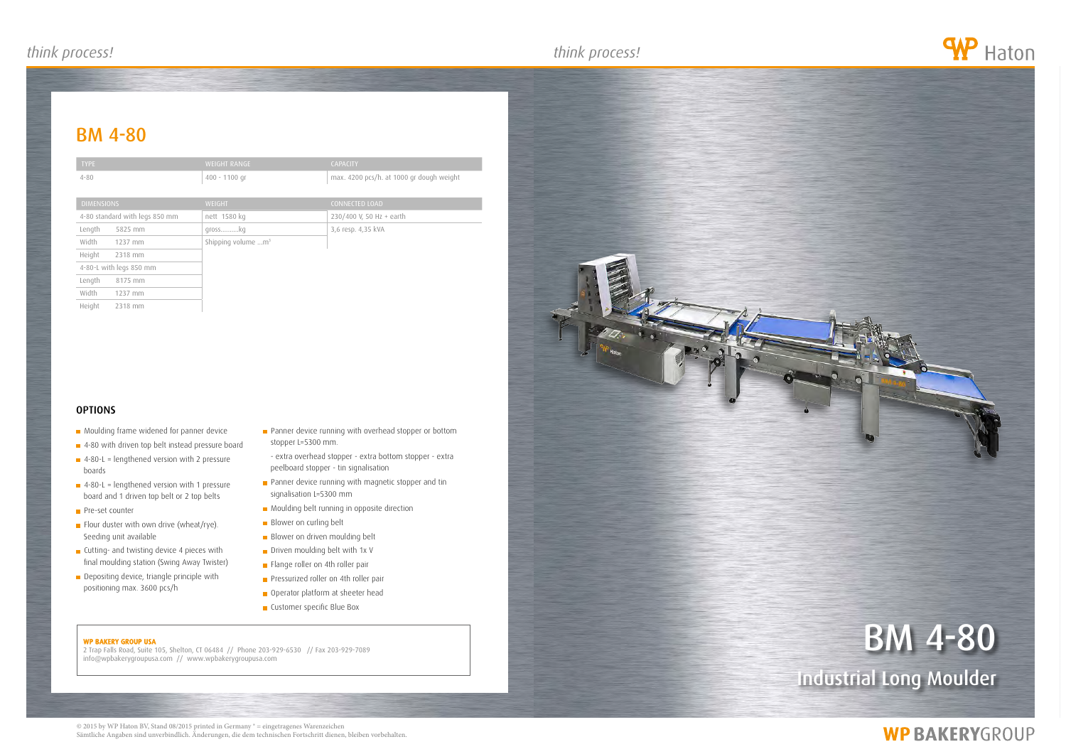### *think process! think process! think process!*

## **BM 4-80**

#### WP BAKERY GROUP USA

2 Trap Falls Road, Suite 105, Shelton, CT 06484 // Phone 203-929-6530 // Fax 203-929-7089 info@wpbakerygroupusa.com // www.wpbakerygroupusa.com



Industrial Long Moulder

## **WP BAKERYGROUP**

© 2015 by WP Haton BV, Stand 08/2015 printed in Germany ® = eingetragenes Warenzeichen Sämtliche Angaben sind unverbindlich. Änderungen, die dem technischen Fortschritt dienen, bleiben vorbehalten.



# **BM 4-80**

| <b>TYPE</b>                    |           | <b>WEIGHT RANGE</b>            | <b>CAPACITY</b>                          |
|--------------------------------|-----------|--------------------------------|------------------------------------------|
| $4 - 80$                       |           | $400 - 1100$ gr                | max. 4200 pcs/h. at 1000 gr dough weight |
|                                |           |                                |                                          |
| <b>DIMENSIONS</b>              |           | <b>WEIGHT</b>                  | CONNECTED LOAD                           |
| 4-80 standard with legs 850 mm |           | nett 1580 kg                   | 230/400 V, 50 Hz + earth                 |
| Length                         | 5825 mm   | grosskg                        | 3,6 resp. 4,35 kVA                       |
| Width                          | $1237$ mm | Shipping volume m <sup>3</sup> |                                          |
| Height                         | 2318 mm   |                                |                                          |
| 4-80-L with legs 850 mm        |           |                                |                                          |
| Length                         | 8175 mm   |                                |                                          |
| Width                          | $1237$ mm |                                |                                          |
| Height                         | 2318 mm   |                                |                                          |

### **OPTIONS**

- **Moulding frame widened for panner device**
- 4-80 with driven top belt instead pressure board
- $\blacksquare$  4-80-L = lengthened version with 2 pressure boards
- $\blacksquare$  4-80-L = lengthened version with 1 pressure board and 1 driven top belt or 2 top belts
- **Pre-set counter**
- Flour duster with own drive (wheat/rye). Seeding unit available
- **Cutting- and twisting device 4 pieces with** final moulding station (Swing Away Twister)
- Depositing device, triangle principle with positioning max. 3600 pcs/h
- **Panner device running with overhead stopper or bottom** stopper L=5300 mm.
- extra overhead stopper extra bottom stopper extra peelboard stopper - tin signalisation
- **Panner device running with magnetic stopper and tin** signalisation L=5300 mm
- **Moulding belt running in opposite direction**
- **Blower on curling belt**
- **Blower on driven moulding belt**
- Driven moulding belt with 1x V
- Flange roller on 4th roller pair
- **Pressurized roller on 4th roller pair**
- **Operator platform at sheeter head**
- **Customer specific Blue Box**